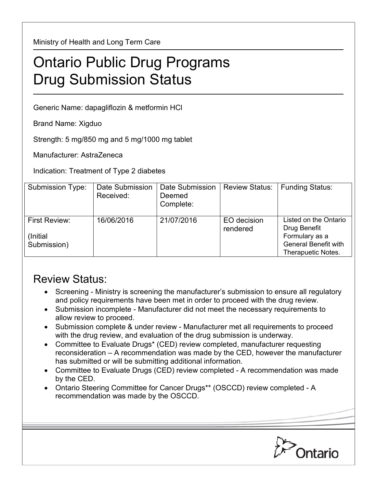Ministry of Health and Long Term Care

## Ontario Public Drug Programs Drug Submission Status

Generic Name: dapagliflozin & metformin HCl

Brand Name: Xigduo

Strength: 5 mg/850 mg and 5 mg/1000 mg tablet

Manufacturer: AstraZeneca

Indication: Treatment of Type 2 diabetes

| Submission Type:                                | Date Submission<br>Received: | Date Submission<br>Deemed<br>Complete: | <b>Review Status:</b>   | <b>Funding Status:</b>                                                                                       |
|-------------------------------------------------|------------------------------|----------------------------------------|-------------------------|--------------------------------------------------------------------------------------------------------------|
| <b>First Review:</b><br>(Initial<br>Submission) | 16/06/2016                   | 21/07/2016                             | EO decision<br>rendered | Listed on the Ontario<br>Drug Benefit<br>Formulary as a<br><b>General Benefit with</b><br>Therapuetic Notes. |

## Review Status:

- Screening Ministry is screening the manufacturer's submission to ensure all regulatory and policy requirements have been met in order to proceed with the drug review.
- Submission incomplete Manufacturer did not meet the necessary requirements to allow review to proceed.
- Submission complete & under review Manufacturer met all requirements to proceed with the drug review, and evaluation of the drug submission is underway.
- Committee to Evaluate Drugs\* (CED) review completed, manufacturer requesting reconsideration – A recommendation was made by the CED, however the manufacturer has submitted or will be submitting additional information.
- Committee to Evaluate Drugs (CED) review completed A recommendation was made by the CED.
- Ontario Steering Committee for Cancer Drugs\*\* (OSCCD) review completed A recommendation was made by the OSCCD.